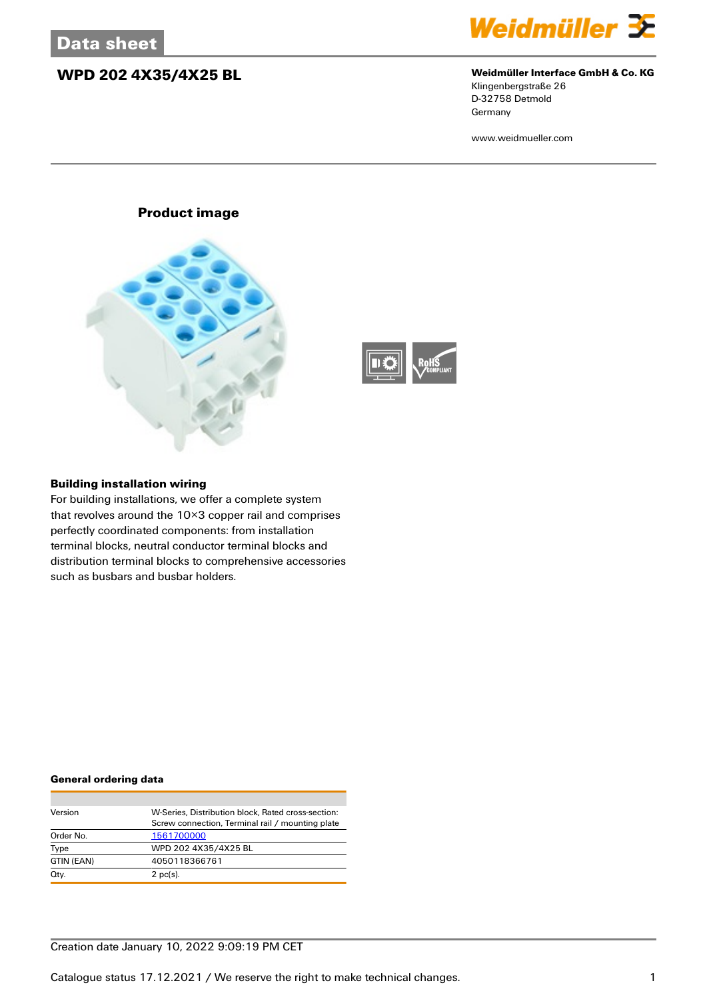## **WPD 202 4X35/4X25 BL Weidmüller Interface GmbH & Co. KG**



# Klingenbergstraße 26

D-32758 Detmold Germany

www.weidmueller.com

### **Product image**





#### **Building installation wiring**

For building installations, we offer a complete system that revolves around the 10×3 copper rail and comprises perfectly coordinated components: from installation terminal blocks, neutral conductor terminal blocks and distribution terminal blocks to comprehensive accessories such as busbars and busbar holders.

#### **General ordering data**

| Version    | W-Series. Distribution block. Rated cross-section: |
|------------|----------------------------------------------------|
|            | Screw connection, Terminal rail / mounting plate   |
| Order No.  | 1561700000                                         |
| Type       | WPD 202 4X35/4X25 BL                               |
| GTIN (EAN) | 4050118366761                                      |
| Qty.       | $2$ pc(s).                                         |

### Creation date January 10, 2022 9:09:19 PM CET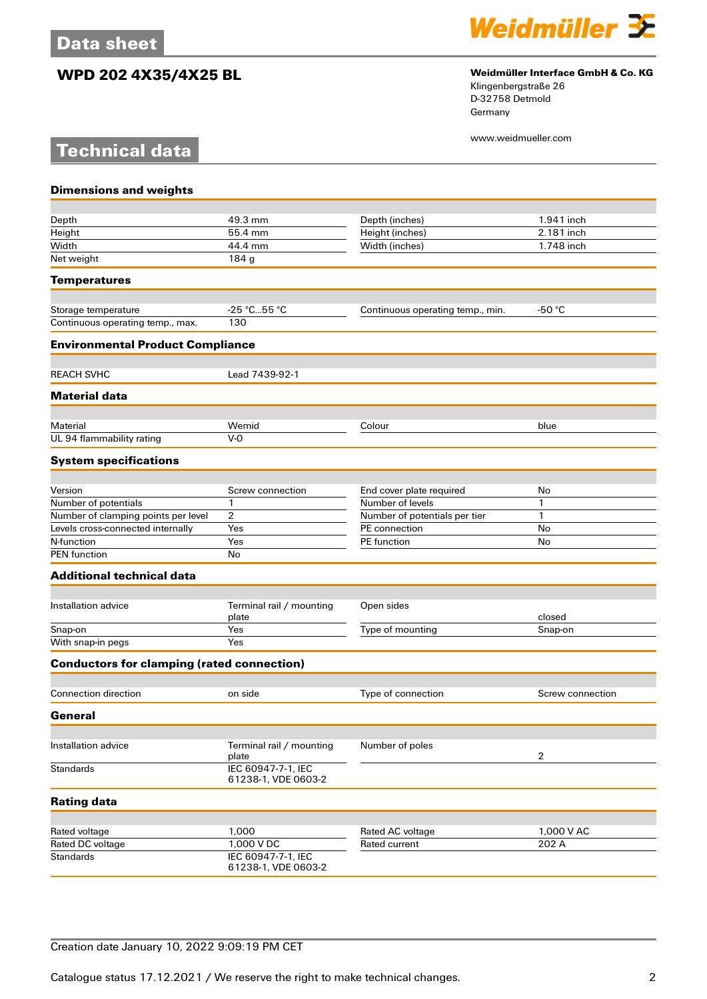**Technical data**



## **WPD 202 4X35/4X25 BL Weidmüller Interface GmbH & Co. KG**

Klingenbergstraße 26 D-32758 Detmold Germany

www.weidmueller.com

| <b>Dimensions and weights</b>                     |                                           |                                  |                  |
|---------------------------------------------------|-------------------------------------------|----------------------------------|------------------|
| Depth                                             | 49.3 mm                                   | Depth (inches)                   | 1.941 inch       |
| Height                                            | 55.4 mm                                   | Height (inches)                  | 2.181 inch       |
| Width                                             | 44.4 mm                                   | Width (inches)                   | 1.748 inch       |
| Net weight                                        | 184 <sub>g</sub>                          |                                  |                  |
| <b>Temperatures</b>                               |                                           |                                  |                  |
|                                                   |                                           |                                  |                  |
| Storage temperature                               | -25 °C55 °C                               | Continuous operating temp., min. | -50 $°C$         |
| Continuous operating temp., max.                  | 130                                       |                                  |                  |
| <b>Environmental Product Compliance</b>           |                                           |                                  |                  |
| <b>REACH SVHC</b>                                 | Lead 7439-92-1                            |                                  |                  |
| <b>Material data</b>                              |                                           |                                  |                  |
|                                                   |                                           |                                  |                  |
| Material                                          | Wemid                                     | Colour                           | blue             |
| UL 94 flammability rating                         | $V - Q$                                   |                                  |                  |
| <b>System specifications</b>                      |                                           |                                  |                  |
|                                                   |                                           |                                  |                  |
| Version                                           | Screw connection                          | End cover plate required         | No               |
| Number of potentials                              | 1                                         | Number of levels                 | 1                |
| Number of clamping points per level               | $\overline{2}$                            | Number of potentials per tier    | 1                |
| Levels cross-connected internally                 | Yes                                       | PE connection                    | No               |
| N-function                                        | Yes                                       | PE function                      | No               |
| <b>PEN</b> function                               | No                                        |                                  |                  |
| <b>Additional technical data</b>                  |                                           |                                  |                  |
| Installation advice                               | Terminal rail / mounting<br>plate         | Open sides                       | closed           |
| Snap-on                                           | Yes                                       | Type of mounting                 | Snap-on          |
| With snap-in pegs                                 | Yes                                       |                                  |                  |
| <b>Conductors for clamping (rated connection)</b> |                                           |                                  |                  |
| <b>Connection direction</b>                       | on side                                   | Type of connection               | Screw connection |
| General                                           |                                           |                                  |                  |
|                                                   |                                           |                                  |                  |
| Installation advice                               | Terminal rail / mounting<br>plate         | Number of poles                  | $\overline{2}$   |
| Standards                                         | IEC 60947-7-1, IEC<br>61238-1, VDE 0603-2 |                                  |                  |
| <b>Rating data</b>                                |                                           |                                  |                  |
|                                                   |                                           |                                  |                  |
| Rated voltage                                     | 1,000                                     | Rated AC voltage                 | 1,000 V AC       |
| Rated DC voltage                                  | 1,000 V DC                                | Rated current                    | 202 A            |
| Standards                                         | IEC 60947-7-1, IEC<br>61238-1, VDE 0603-2 |                                  |                  |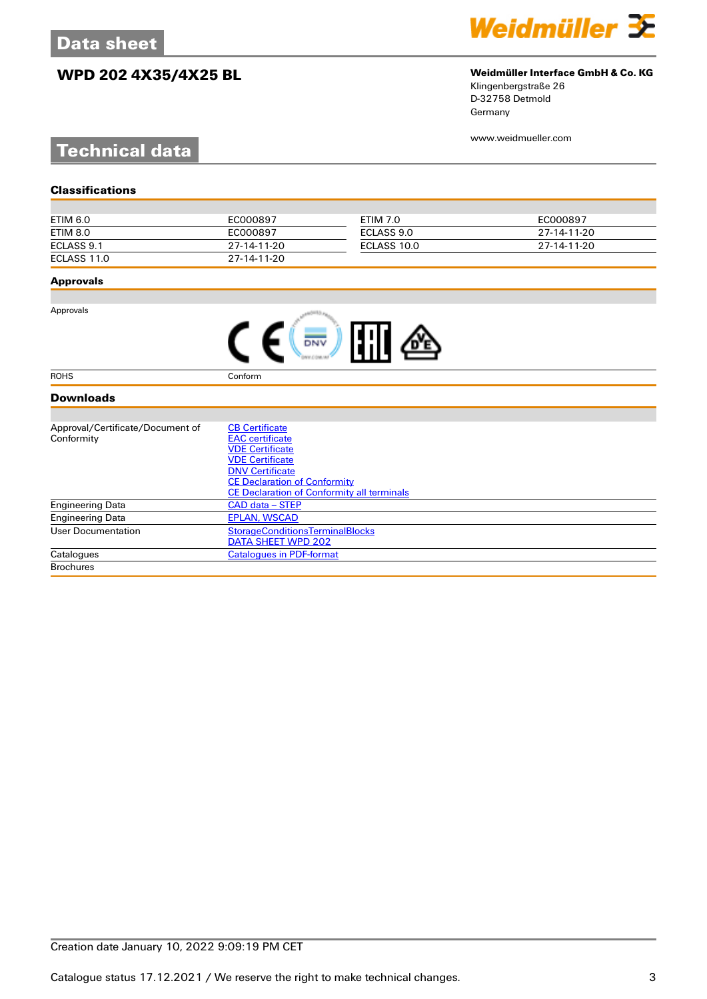

Weidmüller 3E

# **WPD 202 4X35/4X25 BL Weidmüller Interface GmbH & Co. KG**

Klingenbergstraße 26 D-32758 Detmold Germany

www.weidmueller.com

| ETIM 6.0    | EC000897    | ETIM 7.0    | EC000897    |
|-------------|-------------|-------------|-------------|
| ETIM 8.0    | EC000897    | ECLASS 9.0  | 27-14-11-20 |
| ECLASS 9.1  | 27-14-11-20 | ECLASS 10.0 | 27-14-11-20 |
| ECLASS 11.0 | 27-14-11-20 |             |             |

#### **Approvals**

Approvals

**Classifications**

| <b>FFIT</b><br>NW |
|-------------------|
|-------------------|

ROHS Conform

### **Downloads**

| Approval/Certificate/Document of | <b>CB Certificate</b>                             |
|----------------------------------|---------------------------------------------------|
| Conformity                       | <b>EAC</b> certificate                            |
|                                  | <b>VDE Certificate</b>                            |
|                                  | <b>VDE Certificate</b>                            |
|                                  | <b>DNV Certificate</b>                            |
|                                  | <b>CE Declaration of Conformity</b>               |
|                                  | <b>CE Declaration of Conformity all terminals</b> |
| <b>Engineering Data</b>          | CAD data – STEP                                   |
| <b>Engineering Data</b>          | <b>EPLAN, WSCAD</b>                               |
| User Documentation               | <b>StorageConditionsTerminalBlocks</b>            |
|                                  | DATA SHEET WPD 202                                |
| Catalogues                       | <b>Catalogues in PDF-format</b>                   |
| <b>Brochures</b>                 |                                                   |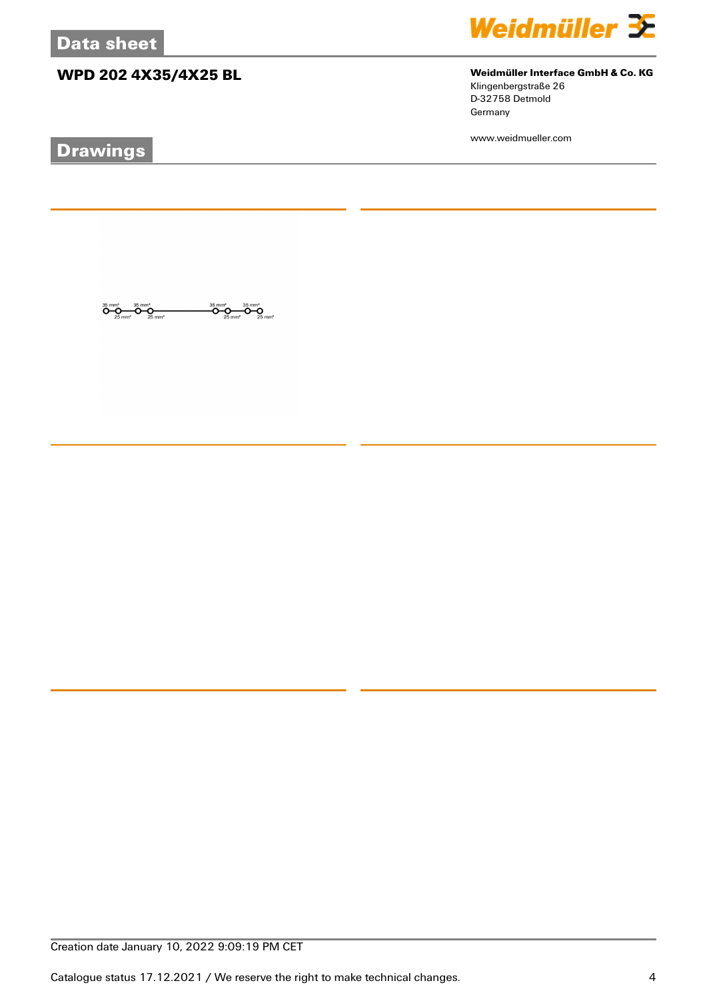# **WPD 202 4X35/4X25 BL Weidmüller Interface GmbH & Co. KG**

 $\overbrace{O}^{35}$ mm<sup>2</sup><br>25 mm<sup>2</sup>

ÖŖ

 $\overline{\mathbf{O}}\underset{25\text{ mm}^2}{\mathbf{O}}\overline{\mathbf{O}}\underset{25\text{ mm}^2}{\mathbf{O}}\overline{\mathbf{O}}\underset{25\text{ mm}^2}{\mathbf{O}}$ 

# **Drawings**



Klingenbergstraße 26 D-32758 Detmold Germany

www.weidmueller.com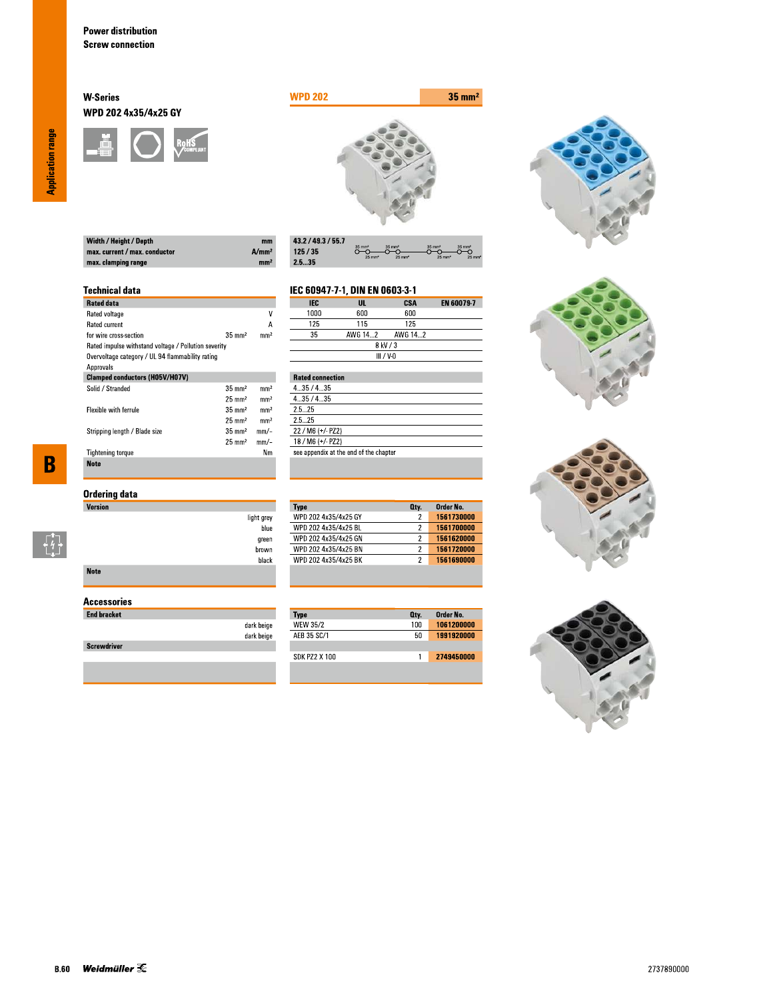#### **W-Series** WPD 202 4x35/4x25 GY

![](_page_4_Figure_2.jpeg)

![](_page_4_Picture_3.jpeg)

| $m$  |
|------|
| A/mm |
| mm   |
|      |

| 43.2 / 49.3 / 55.7 |                                        |                                           |                                           |                                        |
|--------------------|----------------------------------------|-------------------------------------------|-------------------------------------------|----------------------------------------|
| 125/35             | $35 \text{ mm}^2$<br>$25 \text{ mm}^2$ | $35 \text{ mm}^2$<br>$25$ mm <sup>2</sup> | $35 \text{ mm}^2$<br>$25$ mm <sup>2</sup> | $35 \text{ mm}^2$<br>$25 \, \text{mm}$ |
| 2.535              |                                        |                                           |                                           |                                        |

#### **Technical data**

| <b>Rated data</b>                                    |                   |                 |
|------------------------------------------------------|-------------------|-----------------|
| Rated voltage                                        |                   | ٧               |
| <b>Rated current</b>                                 |                   | А               |
| for wire cross-section                               | $35 \text{ mm}^2$ | mm <sup>2</sup> |
| Rated impulse withstand voltage / Pollution severity |                   |                 |
| Overvoltage category / UL 94 flammability rating     |                   |                 |
| Approvals                                            |                   |                 |
| <b>Clamped conductors (H05V/H07V)</b>                |                   |                 |
| Solid / Stranded                                     | $35 \text{ mm}^2$ | mm <sup>2</sup> |
|                                                      | $25 \text{ mm}^2$ | mm <sup>2</sup> |
| <b>Flexible with ferrule</b>                         | $35 \text{ mm}^2$ | mm <sup>2</sup> |
|                                                      | $25 \text{ mm}^2$ | mm <sup>2</sup> |
| Stripping length / Blade size                        | $35 \text{ mm}^2$ | $mm$ -          |
|                                                      | $25 \text{ mm}^2$ | mm/-            |
| <b>Tightening torque</b>                             |                   | Nm              |
| <b>Note</b>                                          |                   |                 |

# **Ordering data**

| <b>Version</b> |                    |
|----------------|--------------------|
|                | light grey<br>blue |
|                | green              |
|                | brown              |
|                | black              |
| <b>Note</b>    |                    |

### **Accessories**

| <b>End bracket</b> |                          |
|--------------------|--------------------------|
|                    | dark beige<br>dark beige |
| <b>Screwdriver</b> |                          |
|                    |                          |

#### EN 60079-7 **IEC**  $\overline{\mathsf{u}}$ . **CSA** 1000  $600\,$  $600$  $\overline{125}$  $\overline{115}$  $\overline{125}$

IEC 60947-7-1, DIN EN 0603-3-1

**Type**<br>WPD 202 4x35/4x25 GY

WPD 202 4x35/4x25 BL

WPD 202 4x35/4x25 GN

WPD 202 4x35/4x25 BN<br>WPD 202 4x35/4x25 BK

Type<br>WEW 35/2

AEB 35 SC/1

**SDK PZ2 X 100** 

| $- - -$ | .           | .       |  |
|---------|-------------|---------|--|
| 35      | AWG 142     | AWG 142 |  |
|         | 8 kV / 3    |         |  |
|         | $III / V-0$ |         |  |
|         |             |         |  |

| <b>Rated connection</b>                |
|----------------------------------------|
| 435/435                                |
| 435/435                                |
| 25 25                                  |
| 25 25                                  |
| 22 / M6 (+/- PZ2)                      |
| 18 / M6 (+/- PZ2)                      |
| see appendix at the end of the chapter |
|                                        |

Order No.

1561730000

1561700000

1561620000

1561690000

Order No.<br>1061200000

1991920000

2749450000

Oty.

 $\overline{2}$ 

 $\overline{2}$ 

 $\overline{2}$ 

 $\overline{2}$ 

Oty.  $100$ 

 $50\,$ 

 $\overline{1}$ 

![](_page_4_Picture_16.jpeg)

![](_page_4_Picture_17.jpeg)

![](_page_4_Picture_18.jpeg)

**Application range** 

 $\overline{\mathbf{B}}$ 

 $\begin{bmatrix} 1 \\ 1 \\ 1 \end{bmatrix}$